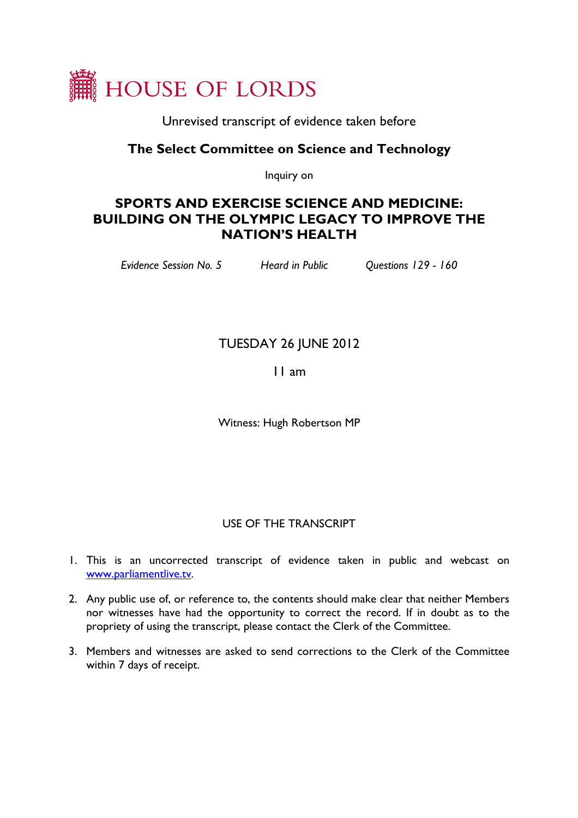

Unrevised transcript of evidence taken before

## **The Select Committee on Science and Technology**

Inquiry on

# **SPORTS AND EXERCISE SCIENCE AND MEDICINE: BUILDING ON THE OLYMPIC LEGACY TO IMPROVE THE NATION'S HEALTH**

*Evidence Session No. 5 Heard in Public Questions 129 - 160* 

# TUESDAY 26 JUNE 2012

11 am

Witness: Hugh Robertson MP

### USE OF THE TRANSCRIPT

- 1. This is an uncorrected transcript of evidence taken in public and webcast on [www.parliamentlive.tv.](http://www.parliamentlive.tv/)
- 2. Any public use of, or reference to, the contents should make clear that neither Members nor witnesses have had the opportunity to correct the record. If in doubt as to the propriety of using the transcript, please contact the Clerk of the Committee.
- 3. Members and witnesses are asked to send corrections to the Clerk of the Committee within 7 days of receipt.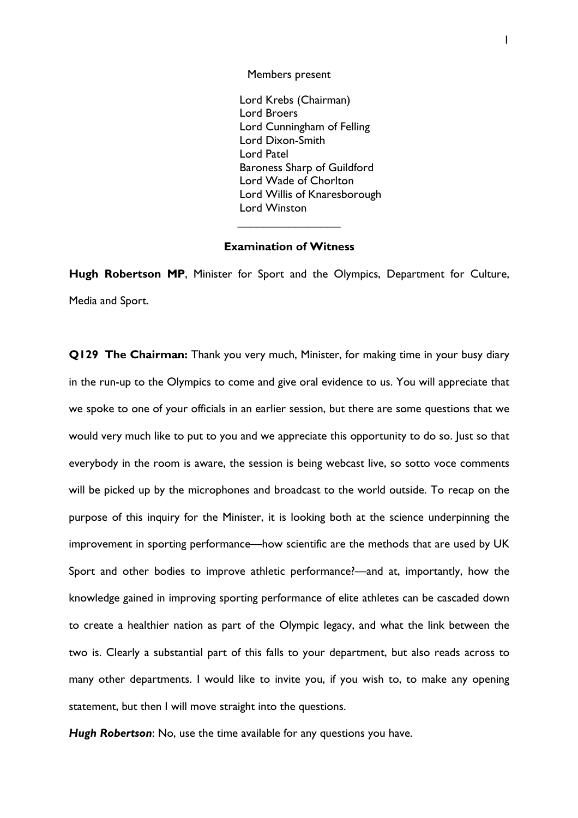Members present

Lord Krebs (Chairman) Lord Broers Lord Cunningham of Felling Lord Dixon-Smith Lord Patel Baroness Sharp of Guildford Lord Wade of Chorlton Lord Willis of Knaresborough Lord Winston

### **Examination of Witness**

 $\overline{\phantom{a}}$  . The set of the set of the set of the set of the set of the set of the set of the set of the set of the set of the set of the set of the set of the set of the set of the set of the set of the set of the set o

**Hugh Robertson MP**, Minister for Sport and the Olympics, Department for Culture, Media and Sport.

**Q129 The Chairman:** Thank you very much, Minister, for making time in your busy diary in the run-up to the Olympics to come and give oral evidence to us. You will appreciate that we spoke to one of your officials in an earlier session, but there are some questions that we would very much like to put to you and we appreciate this opportunity to do so. Just so that everybody in the room is aware, the session is being webcast live, so sotto voce comments will be picked up by the microphones and broadcast to the world outside. To recap on the purpose of this inquiry for the Minister, it is looking both at the science underpinning the improvement in sporting performance—how scientific are the methods that are used by UK Sport and other bodies to improve athletic performance?—and at, importantly, how the knowledge gained in improving sporting performance of elite athletes can be cascaded down to create a healthier nation as part of the Olympic legacy, and what the link between the two is. Clearly a substantial part of this falls to your department, but also reads across to many other departments. I would like to invite you, if you wish to, to make any opening statement, but then I will move straight into the questions.

*Hugh Robertson*: No, use the time available for any questions you have.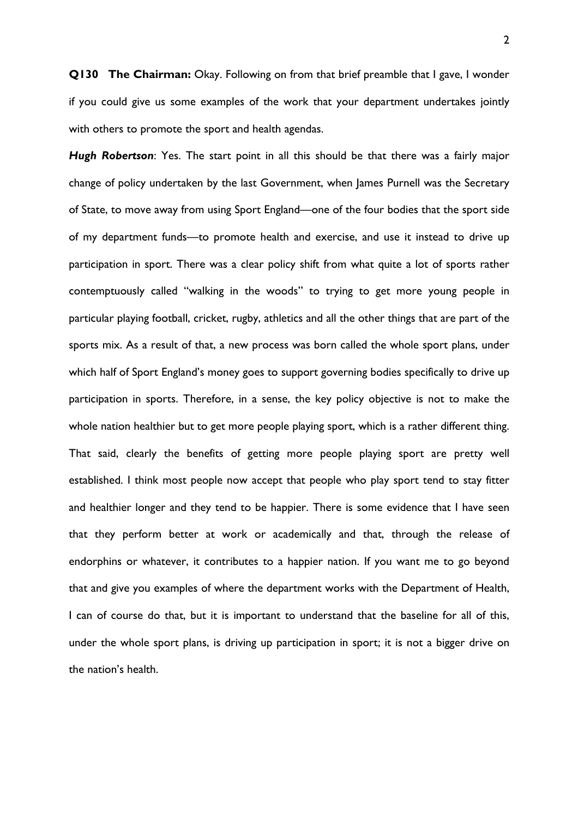**Q130 The Chairman:** Okay. Following on from that brief preamble that I gave, I wonder if you could give us some examples of the work that your department undertakes jointly with others to promote the sport and health agendas.

*Hugh Robertson*: Yes. The start point in all this should be that there was a fairly major change of policy undertaken by the last Government, when James Purnell was the Secretary of State, to move away from using Sport England—one of the four bodies that the sport side of my department funds—to promote health and exercise, and use it instead to drive up participation in sport. There was a clear policy shift from what quite a lot of sports rather contemptuously called "walking in the woods" to trying to get more young people in particular playing football, cricket, rugby, athletics and all the other things that are part of the sports mix. As a result of that, a new process was born called the whole sport plans, under which half of Sport England's money goes to support governing bodies specifically to drive up participation in sports. Therefore, in a sense, the key policy objective is not to make the whole nation healthier but to get more people playing sport, which is a rather different thing. That said, clearly the benefits of getting more people playing sport are pretty well established. I think most people now accept that people who play sport tend to stay fitter and healthier longer and they tend to be happier. There is some evidence that I have seen that they perform better at work or academically and that, through the release of endorphins or whatever, it contributes to a happier nation. If you want me to go beyond that and give you examples of where the department works with the Department of Health, I can of course do that, but it is important to understand that the baseline for all of this, under the whole sport plans, is driving up participation in sport; it is not a bigger drive on the nation's health.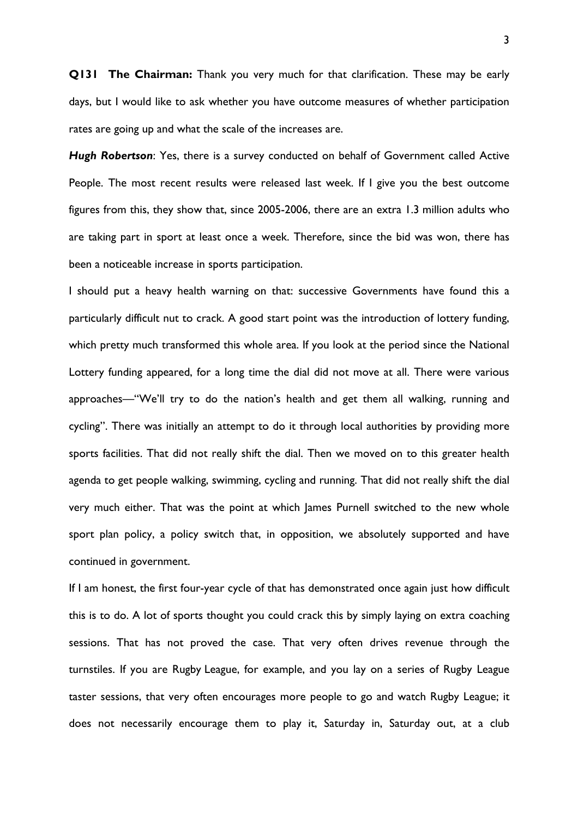**Q131 The Chairman:** Thank you very much for that clarification. These may be early days, but I would like to ask whether you have outcome measures of whether participation rates are going up and what the scale of the increases are.

*Hugh Robertson*: Yes, there is a survey conducted on behalf of Government called Active People. The most recent results were released last week. If I give you the best outcome figures from this, they show that, since 2005-2006, there are an extra 1.3 million adults who are taking part in sport at least once a week. Therefore, since the bid was won, there has been a noticeable increase in sports participation.

I should put a heavy health warning on that: successive Governments have found this a particularly difficult nut to crack. A good start point was the introduction of lottery funding, which pretty much transformed this whole area. If you look at the period since the National Lottery funding appeared, for a long time the dial did not move at all. There were various approaches—"We'll try to do the nation's health and get them all walking, running and cycling". There was initially an attempt to do it through local authorities by providing more sports facilities. That did not really shift the dial. Then we moved on to this greater health agenda to get people walking, swimming, cycling and running. That did not really shift the dial very much either. That was the point at which James Purnell switched to the new whole sport plan policy, a policy switch that, in opposition, we absolutely supported and have continued in government.

If I am honest, the first four-year cycle of that has demonstrated once again just how difficult this is to do. A lot of sports thought you could crack this by simply laying on extra coaching sessions. That has not proved the case. That very often drives revenue through the turnstiles. If you are Rugby League, for example, and you lay on a series of Rugby League taster sessions, that very often encourages more people to go and watch Rugby League; it does not necessarily encourage them to play it, Saturday in, Saturday out, at a club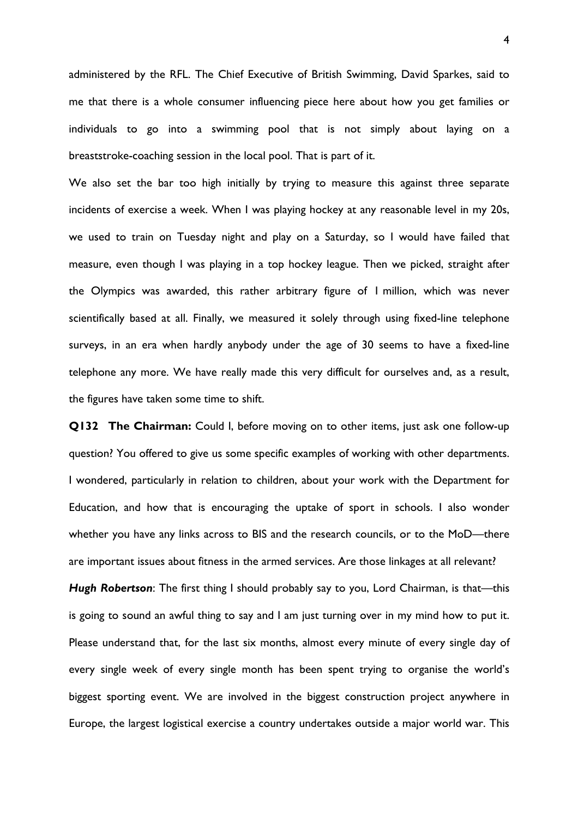administered by the RFL. The Chief Executive of British Swimming, David Sparkes, said to me that there is a whole consumer influencing piece here about how you get families or individuals to go into a swimming pool that is not simply about laying on a breaststroke-coaching session in the local pool. That is part of it.

We also set the bar too high initially by trying to measure this against three separate incidents of exercise a week. When I was playing hockey at any reasonable level in my 20s, we used to train on Tuesday night and play on a Saturday, so I would have failed that measure, even though I was playing in a top hockey league. Then we picked, straight after the Olympics was awarded, this rather arbitrary figure of 1 million, which was never scientifically based at all. Finally, we measured it solely through using fixed-line telephone surveys, in an era when hardly anybody under the age of 30 seems to have a fixed-line telephone any more. We have really made this very difficult for ourselves and, as a result, the figures have taken some time to shift.

**Q132 The Chairman:** Could I, before moving on to other items, just ask one follow-up question? You offered to give us some specific examples of working with other departments. I wondered, particularly in relation to children, about your work with the Department for Education, and how that is encouraging the uptake of sport in schools. I also wonder whether you have any links across to BIS and the research councils, or to the MoD—there are important issues about fitness in the armed services. Are those linkages at all relevant?

*Hugh Robertson*: The first thing I should probably say to you, Lord Chairman, is that—this is going to sound an awful thing to say and I am just turning over in my mind how to put it. Please understand that, for the last six months, almost every minute of every single day of every single week of every single month has been spent trying to organise the world's biggest sporting event. We are involved in the biggest construction project anywhere in Europe, the largest logistical exercise a country undertakes outside a major world war. This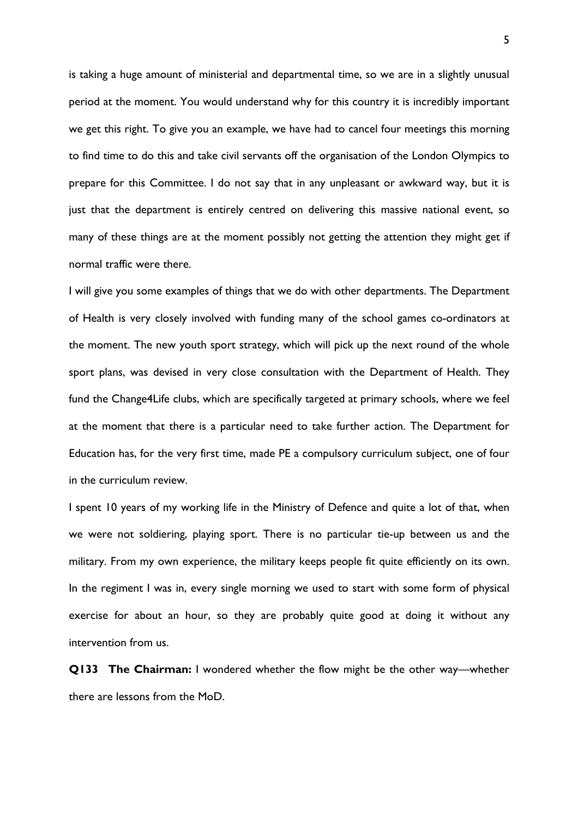is taking a huge amount of ministerial and departmental time, so we are in a slightly unusual period at the moment. You would understand why for this country it is incredibly important we get this right. To give you an example, we have had to cancel four meetings this morning to find time to do this and take civil servants off the organisation of the London Olympics to prepare for this Committee. I do not say that in any unpleasant or awkward way, but it is just that the department is entirely centred on delivering this massive national event, so many of these things are at the moment possibly not getting the attention they might get if normal traffic were there.

I will give you some examples of things that we do with other departments. The Department of Health is very closely involved with funding many of the school games co-ordinators at the moment. The new youth sport strategy, which will pick up the next round of the whole sport plans, was devised in very close consultation with the Department of Health. They fund the Change4Life clubs, which are specifically targeted at primary schools, where we feel at the moment that there is a particular need to take further action. The Department for Education has, for the very first time, made PE a compulsory curriculum subject, one of four in the curriculum review.

I spent 10 years of my working life in the Ministry of Defence and quite a lot of that, when we were not soldiering, playing sport. There is no particular tie-up between us and the military. From my own experience, the military keeps people fit quite efficiently on its own. In the regiment I was in, every single morning we used to start with some form of physical exercise for about an hour, so they are probably quite good at doing it without any intervention from us.

**Q133 The Chairman:** I wondered whether the flow might be the other way—whether there are lessons from the MoD.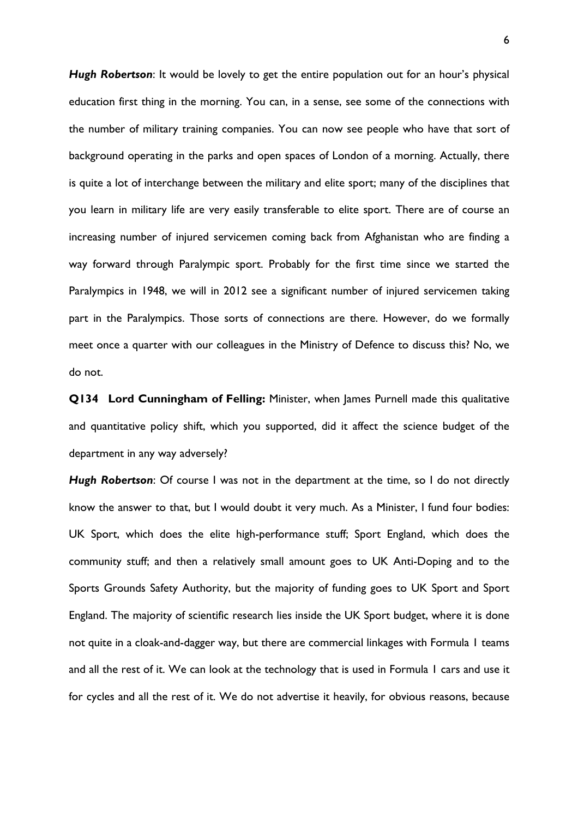*Hugh Robertson*: It would be lovely to get the entire population out for an hour's physical education first thing in the morning. You can, in a sense, see some of the connections with the number of military training companies. You can now see people who have that sort of background operating in the parks and open spaces of London of a morning. Actually, there is quite a lot of interchange between the military and elite sport; many of the disciplines that you learn in military life are very easily transferable to elite sport. There are of course an increasing number of injured servicemen coming back from Afghanistan who are finding a way forward through Paralympic sport. Probably for the first time since we started the Paralympics in 1948, we will in 2012 see a significant number of injured servicemen taking part in the Paralympics. Those sorts of connections are there. However, do we formally meet once a quarter with our colleagues in the Ministry of Defence to discuss this? No, we do not.

**Q134 Lord Cunningham of Felling:** Minister, when James Purnell made this qualitative and quantitative policy shift, which you supported, did it affect the science budget of the department in any way adversely?

*Hugh Robertson*: Of course I was not in the department at the time, so I do not directly know the answer to that, but I would doubt it very much. As a Minister, I fund four bodies: UK Sport, which does the elite high-performance stuff; Sport England, which does the community stuff; and then a relatively small amount goes to UK Anti-Doping and to the Sports Grounds Safety Authority, but the majority of funding goes to UK Sport and Sport England. The majority of scientific research lies inside the UK Sport budget, where it is done not quite in a cloak-and-dagger way, but there are commercial linkages with Formula 1 teams and all the rest of it. We can look at the technology that is used in Formula 1 cars and use it for cycles and all the rest of it. We do not advertise it heavily, for obvious reasons, because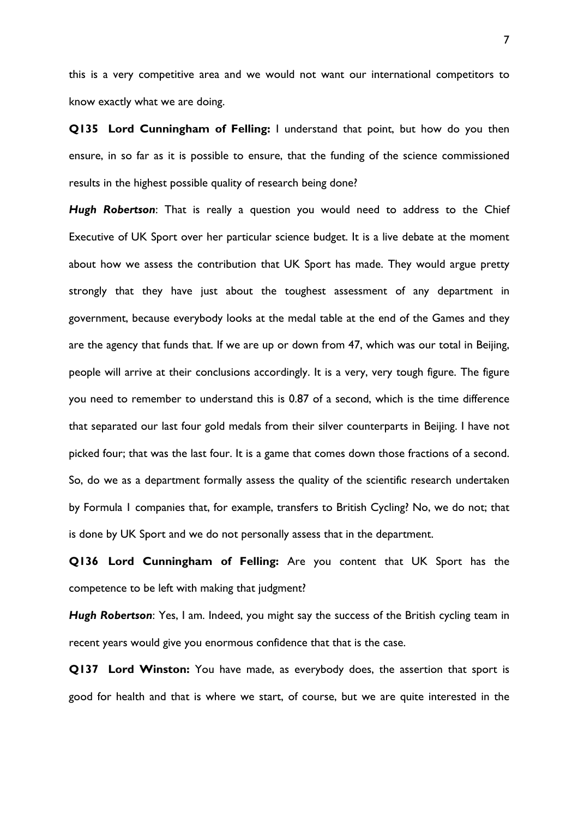this is a very competitive area and we would not want our international competitors to know exactly what we are doing.

**Q135 Lord Cunningham of Felling:** I understand that point, but how do you then ensure, in so far as it is possible to ensure, that the funding of the science commissioned results in the highest possible quality of research being done?

*Hugh Robertson*: That is really a question you would need to address to the Chief Executive of UK Sport over her particular science budget. It is a live debate at the moment about how we assess the contribution that UK Sport has made. They would argue pretty strongly that they have just about the toughest assessment of any department in government, because everybody looks at the medal table at the end of the Games and they are the agency that funds that. If we are up or down from 47, which was our total in Beijing, people will arrive at their conclusions accordingly. It is a very, very tough figure. The figure you need to remember to understand this is 0.87 of a second, which is the time difference that separated our last four gold medals from their silver counterparts in Beijing. I have not picked four; that was the last four. It is a game that comes down those fractions of a second. So, do we as a department formally assess the quality of the scientific research undertaken by Formula 1 companies that, for example, transfers to British Cycling? No, we do not; that is done by UK Sport and we do not personally assess that in the department.

**Q136 Lord Cunningham of Felling:** Are you content that UK Sport has the competence to be left with making that judgment?

*Hugh Robertson*: Yes, I am. Indeed, you might say the success of the British cycling team in recent years would give you enormous confidence that that is the case.

**Q137 Lord Winston:** You have made, as everybody does, the assertion that sport is good for health and that is where we start, of course, but we are quite interested in the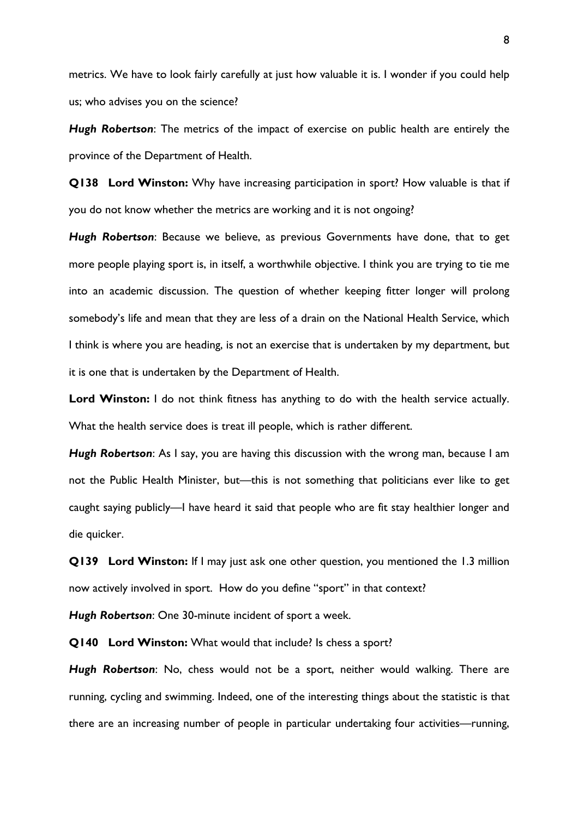metrics. We have to look fairly carefully at just how valuable it is. I wonder if you could help us; who advises you on the science?

*Hugh Robertson*: The metrics of the impact of exercise on public health are entirely the province of the Department of Health.

**Q138 Lord Winston:** Why have increasing participation in sport? How valuable is that if you do not know whether the metrics are working and it is not ongoing?

*Hugh Robertson*: Because we believe, as previous Governments have done, that to get more people playing sport is, in itself, a worthwhile objective. I think you are trying to tie me into an academic discussion. The question of whether keeping fitter longer will prolong somebody's life and mean that they are less of a drain on the National Health Service, which I think is where you are heading, is not an exercise that is undertaken by my department, but it is one that is undertaken by the Department of Health.

Lord Winston: I do not think fitness has anything to do with the health service actually. What the health service does is treat ill people, which is rather different.

*Hugh Robertson*: As I say, you are having this discussion with the wrong man, because I am not the Public Health Minister, but—this is not something that politicians ever like to get caught saying publicly—I have heard it said that people who are fit stay healthier longer and die quicker.

**Q139 Lord Winston:** If I may just ask one other question, you mentioned the 1.3 million now actively involved in sport. How do you define "sport" in that context?

*Hugh Robertson*: One 30-minute incident of sport a week.

**Q140 Lord Winston:** What would that include? Is chess a sport?

*Hugh Robertson*: No, chess would not be a sport, neither would walking. There are running, cycling and swimming. Indeed, one of the interesting things about the statistic is that there are an increasing number of people in particular undertaking four activities—running,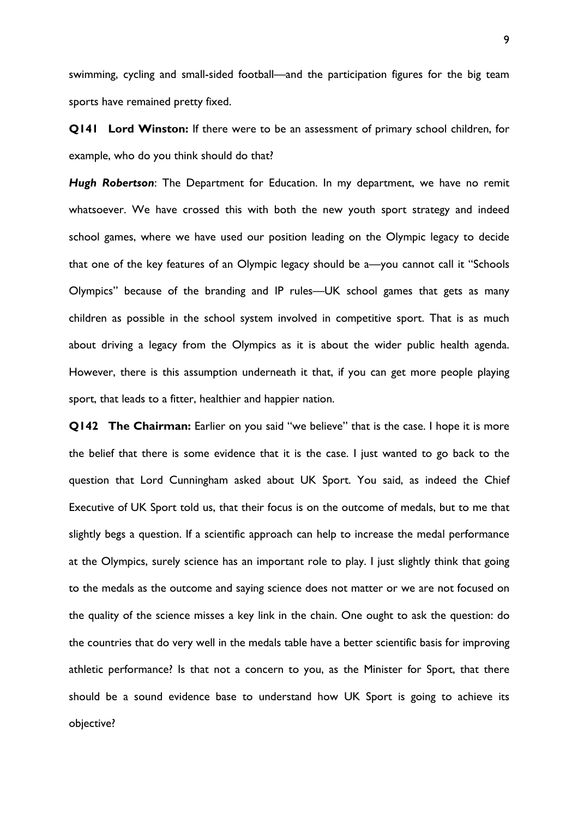swimming, cycling and small-sided football—and the participation figures for the big team sports have remained pretty fixed.

**Q141 Lord Winston:** If there were to be an assessment of primary school children, for example, who do you think should do that?

*Hugh Robertson*: The Department for Education. In my department, we have no remit whatsoever. We have crossed this with both the new youth sport strategy and indeed school games, where we have used our position leading on the Olympic legacy to decide that one of the key features of an Olympic legacy should be a—you cannot call it "Schools Olympics" because of the branding and IP rules—UK school games that gets as many children as possible in the school system involved in competitive sport. That is as much about driving a legacy from the Olympics as it is about the wider public health agenda. However, there is this assumption underneath it that, if you can get more people playing sport, that leads to a fitter, healthier and happier nation.

**Q142 The Chairman:** Earlier on you said "we believe" that is the case. I hope it is more the belief that there is some evidence that it is the case. I just wanted to go back to the question that Lord Cunningham asked about UK Sport. You said, as indeed the Chief Executive of UK Sport told us, that their focus is on the outcome of medals, but to me that slightly begs a question. If a scientific approach can help to increase the medal performance at the Olympics, surely science has an important role to play. I just slightly think that going to the medals as the outcome and saying science does not matter or we are not focused on the quality of the science misses a key link in the chain. One ought to ask the question: do the countries that do very well in the medals table have a better scientific basis for improving athletic performance? Is that not a concern to you, as the Minister for Sport, that there should be a sound evidence base to understand how UK Sport is going to achieve its objective?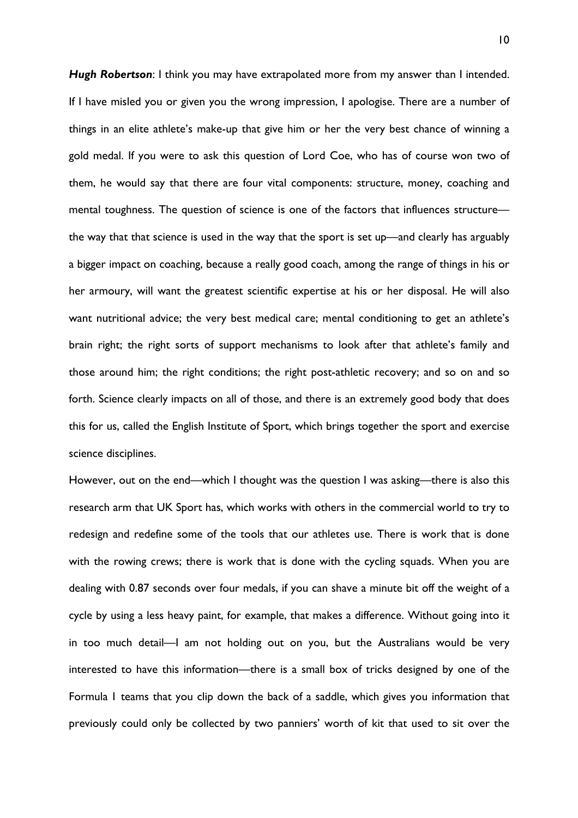*Hugh Robertson*: I think you may have extrapolated more from my answer than I intended. If I have misled you or given you the wrong impression, I apologise. There are a number of things in an elite athlete's make-up that give him or her the very best chance of winning a gold medal. If you were to ask this question of Lord Coe, who has of course won two of them, he would say that there are four vital components: structure, money, coaching and mental toughness. The question of science is one of the factors that influences structure the way that that science is used in the way that the sport is set up—and clearly has arguably a bigger impact on coaching, because a really good coach, among the range of things in his or her armoury, will want the greatest scientific expertise at his or her disposal. He will also want nutritional advice; the very best medical care; mental conditioning to get an athlete's brain right; the right sorts of support mechanisms to look after that athlete's family and those around him; the right conditions; the right post-athletic recovery; and so on and so forth. Science clearly impacts on all of those, and there is an extremely good body that does this for us, called the English Institute of Sport, which brings together the sport and exercise science disciplines.

However, out on the end—which I thought was the question I was asking—there is also this research arm that UK Sport has, which works with others in the commercial world to try to redesign and redefine some of the tools that our athletes use. There is work that is done with the rowing crews; there is work that is done with the cycling squads. When you are dealing with 0.87 seconds over four medals, if you can shave a minute bit off the weight of a cycle by using a less heavy paint, for example, that makes a difference. Without going into it in too much detail—I am not holding out on you, but the Australians would be very interested to have this information—there is a small box of tricks designed by one of the Formula 1 teams that you clip down the back of a saddle, which gives you information that previously could only be collected by two panniers' worth of kit that used to sit over the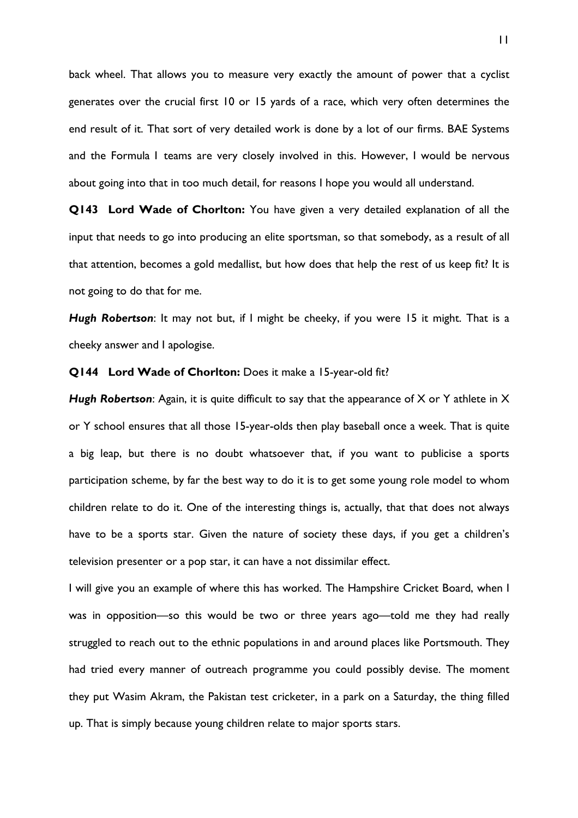back wheel. That allows you to measure very exactly the amount of power that a cyclist generates over the crucial first 10 or 15 yards of a race, which very often determines the end result of it. That sort of very detailed work is done by a lot of our firms. BAE Systems and the Formula 1 teams are very closely involved in this. However, I would be nervous about going into that in too much detail, for reasons I hope you would all understand.

**Q143 Lord Wade of Chorlton:** You have given a very detailed explanation of all the input that needs to go into producing an elite sportsman, so that somebody, as a result of all that attention, becomes a gold medallist, but how does that help the rest of us keep fit? It is not going to do that for me.

*Hugh Robertson*: It may not but, if I might be cheeky, if you were 15 it might. That is a cheeky answer and I apologise.

### **Q144 Lord Wade of Chorlton:** Does it make a 15-year-old fit?

*Hugh Robertson*: Again, it is quite difficult to say that the appearance of X or Y athlete in X or Y school ensures that all those 15-year-olds then play baseball once a week. That is quite a big leap, but there is no doubt whatsoever that, if you want to publicise a sports participation scheme, by far the best way to do it is to get some young role model to whom children relate to do it. One of the interesting things is, actually, that that does not always have to be a sports star. Given the nature of society these days, if you get a children's television presenter or a pop star, it can have a not dissimilar effect.

I will give you an example of where this has worked. The Hampshire Cricket Board, when I was in opposition—so this would be two or three years ago—told me they had really struggled to reach out to the ethnic populations in and around places like Portsmouth. They had tried every manner of outreach programme you could possibly devise. The moment they put Wasim Akram, the Pakistan test cricketer, in a park on a Saturday, the thing filled up. That is simply because young children relate to major sports stars.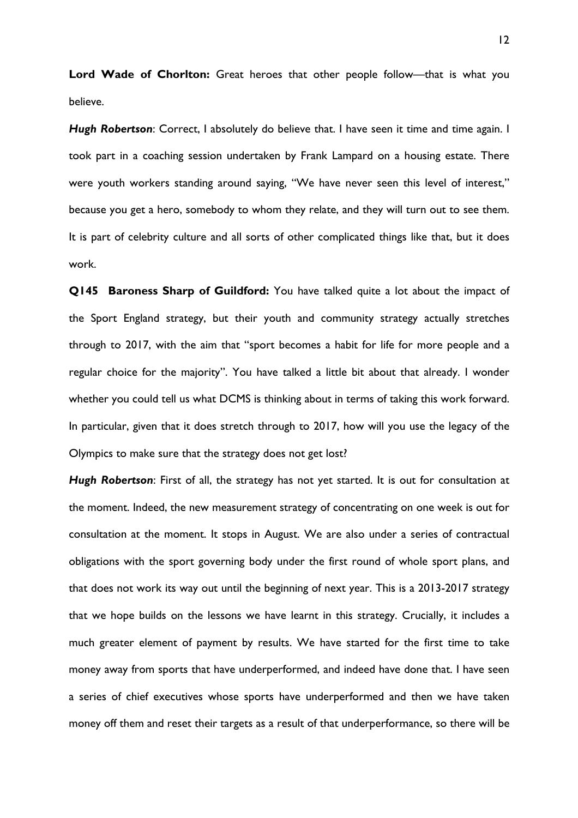Lord Wade of Chorlton: Great heroes that other people follow—that is what you believe.

*Hugh Robertson*: Correct, I absolutely do believe that. I have seen it time and time again. I took part in a coaching session undertaken by Frank Lampard on a housing estate. There were youth workers standing around saying, "We have never seen this level of interest," because you get a hero, somebody to whom they relate, and they will turn out to see them. It is part of celebrity culture and all sorts of other complicated things like that, but it does work.

**Q145 Baroness Sharp of Guildford:** You have talked quite a lot about the impact of the Sport England strategy, but their youth and community strategy actually stretches through to 2017, with the aim that "sport becomes a habit for life for more people and a regular choice for the majority". You have talked a little bit about that already. I wonder whether you could tell us what DCMS is thinking about in terms of taking this work forward. In particular, given that it does stretch through to 2017, how will you use the legacy of the Olympics to make sure that the strategy does not get lost?

*Hugh Robertson*: First of all, the strategy has not yet started. It is out for consultation at the moment. Indeed, the new measurement strategy of concentrating on one week is out for consultation at the moment. It stops in August. We are also under a series of contractual obligations with the sport governing body under the first round of whole sport plans, and that does not work its way out until the beginning of next year. This is a 2013-2017 strategy that we hope builds on the lessons we have learnt in this strategy. Crucially, it includes a much greater element of payment by results. We have started for the first time to take money away from sports that have underperformed, and indeed have done that. I have seen a series of chief executives whose sports have underperformed and then we have taken money off them and reset their targets as a result of that underperformance, so there will be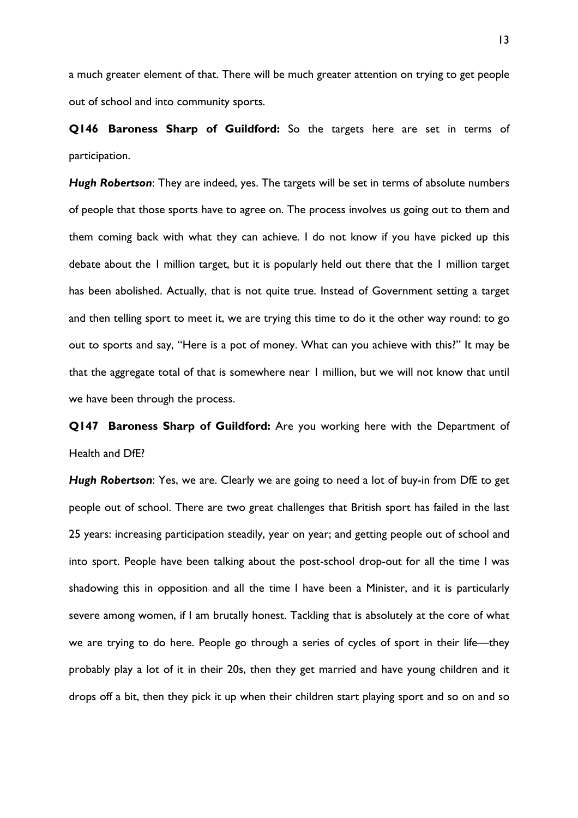a much greater element of that. There will be much greater attention on trying to get people out of school and into community sports.

**Q146 Baroness Sharp of Guildford:** So the targets here are set in terms of participation.

*Hugh Robertson*: They are indeed, yes. The targets will be set in terms of absolute numbers of people that those sports have to agree on. The process involves us going out to them and them coming back with what they can achieve. I do not know if you have picked up this debate about the 1 million target, but it is popularly held out there that the 1 million target has been abolished. Actually, that is not quite true. Instead of Government setting a target and then telling sport to meet it, we are trying this time to do it the other way round: to go out to sports and say, "Here is a pot of money. What can you achieve with this?" It may be that the aggregate total of that is somewhere near 1 million, but we will not know that until we have been through the process.

**Q147 Baroness Sharp of Guildford:** Are you working here with the Department of Health and DfE?

*Hugh Robertson*: Yes, we are. Clearly we are going to need a lot of buy-in from DfE to get people out of school. There are two great challenges that British sport has failed in the last 25 years: increasing participation steadily, year on year; and getting people out of school and into sport. People have been talking about the post-school drop-out for all the time I was shadowing this in opposition and all the time I have been a Minister, and it is particularly severe among women, if I am brutally honest. Tackling that is absolutely at the core of what we are trying to do here. People go through a series of cycles of sport in their life—they probably play a lot of it in their 20s, then they get married and have young children and it drops off a bit, then they pick it up when their children start playing sport and so on and so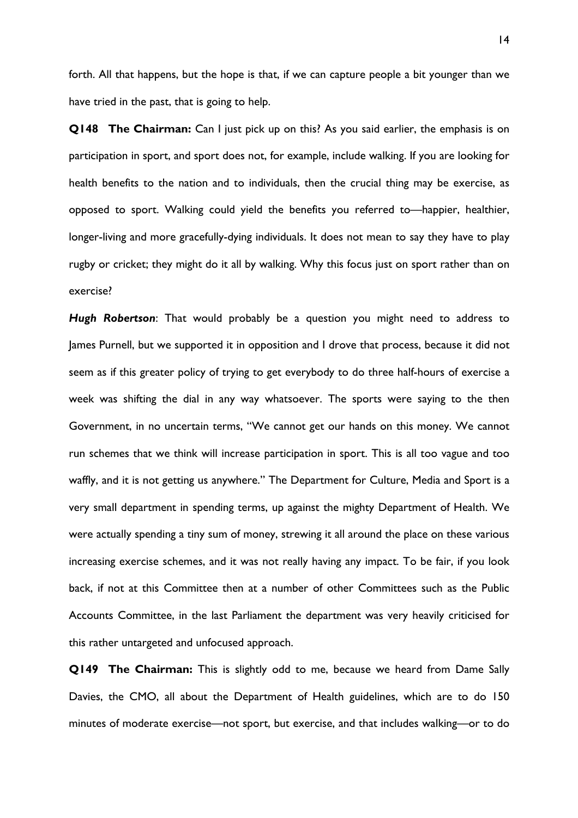forth. All that happens, but the hope is that, if we can capture people a bit younger than we have tried in the past, that is going to help.

**Q148 The Chairman:** Can I just pick up on this? As you said earlier, the emphasis is on participation in sport, and sport does not, for example, include walking. If you are looking for health benefits to the nation and to individuals, then the crucial thing may be exercise, as opposed to sport. Walking could yield the benefits you referred to—happier, healthier, longer-living and more gracefully-dying individuals. It does not mean to say they have to play rugby or cricket; they might do it all by walking. Why this focus just on sport rather than on exercise?

*Hugh Robertson*: That would probably be a question you might need to address to James Purnell, but we supported it in opposition and I drove that process, because it did not seem as if this greater policy of trying to get everybody to do three half-hours of exercise a week was shifting the dial in any way whatsoever. The sports were saying to the then Government, in no uncertain terms, "We cannot get our hands on this money. We cannot run schemes that we think will increase participation in sport. This is all too vague and too waffly, and it is not getting us anywhere." The Department for Culture, Media and Sport is a very small department in spending terms, up against the mighty Department of Health. We were actually spending a tiny sum of money, strewing it all around the place on these various increasing exercise schemes, and it was not really having any impact. To be fair, if you look back, if not at this Committee then at a number of other Committees such as the Public Accounts Committee, in the last Parliament the department was very heavily criticised for this rather untargeted and unfocused approach.

**Q149 The Chairman:** This is slightly odd to me, because we heard from Dame Sally Davies, the CMO, all about the Department of Health guidelines, which are to do 150 minutes of moderate exercise—not sport, but exercise, and that includes walking—or to do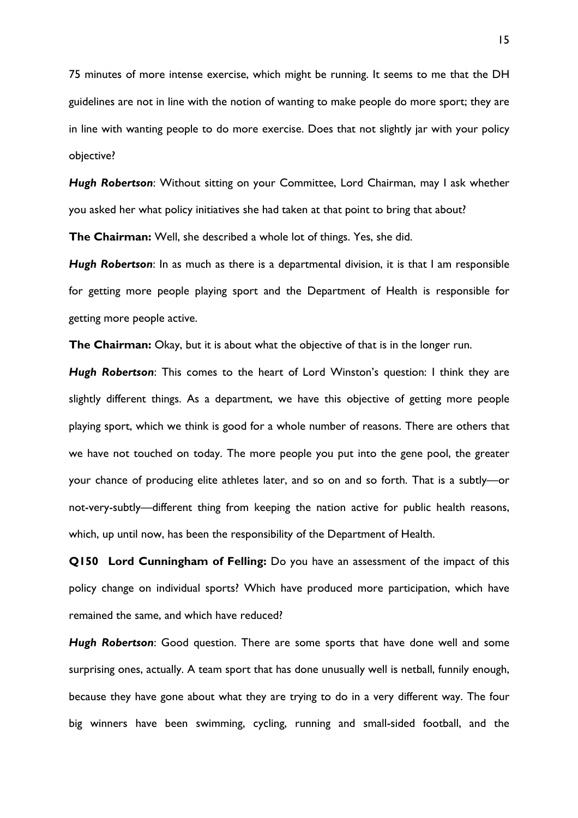75 minutes of more intense exercise, which might be running. It seems to me that the DH guidelines are not in line with the notion of wanting to make people do more sport; they are in line with wanting people to do more exercise. Does that not slightly jar with your policy objective?

*Hugh Robertson*: Without sitting on your Committee, Lord Chairman, may I ask whether you asked her what policy initiatives she had taken at that point to bring that about?

**The Chairman:** Well, she described a whole lot of things. Yes, she did.

*Hugh Robertson*: In as much as there is a departmental division, it is that I am responsible for getting more people playing sport and the Department of Health is responsible for getting more people active.

**The Chairman:** Okay, but it is about what the objective of that is in the longer run.

*Hugh Robertson*: This comes to the heart of Lord Winston's question: I think they are slightly different things. As a department, we have this objective of getting more people playing sport, which we think is good for a whole number of reasons. There are others that we have not touched on today. The more people you put into the gene pool, the greater your chance of producing elite athletes later, and so on and so forth. That is a subtly—or not-very-subtly—different thing from keeping the nation active for public health reasons, which, up until now, has been the responsibility of the Department of Health.

**Q150 Lord Cunningham of Felling:** Do you have an assessment of the impact of this policy change on individual sports? Which have produced more participation, which have remained the same, and which have reduced?

*Hugh Robertson*: Good question. There are some sports that have done well and some surprising ones, actually. A team sport that has done unusually well is netball, funnily enough, because they have gone about what they are trying to do in a very different way. The four big winners have been swimming, cycling, running and small-sided football, and the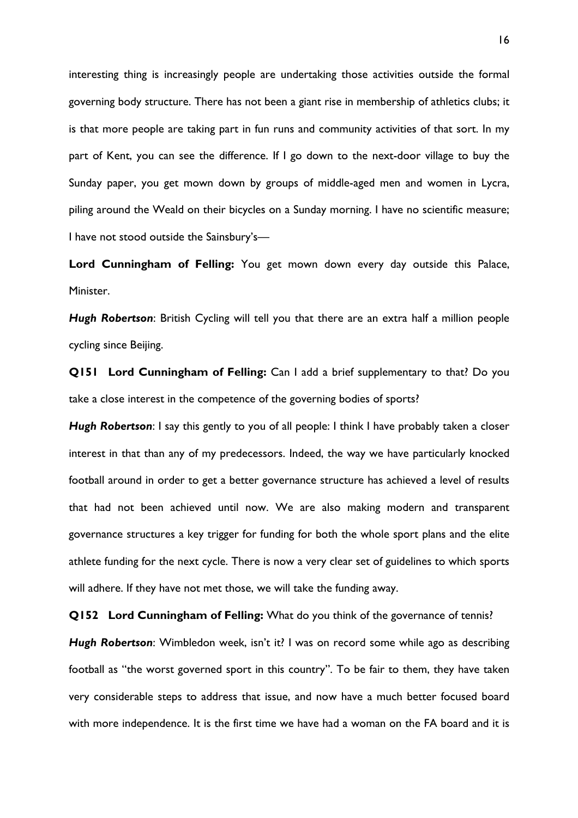interesting thing is increasingly people are undertaking those activities outside the formal governing body structure. There has not been a giant rise in membership of athletics clubs; it is that more people are taking part in fun runs and community activities of that sort. In my part of Kent, you can see the difference. If I go down to the next-door village to buy the Sunday paper, you get mown down by groups of middle-aged men and women in Lycra, piling around the Weald on their bicycles on a Sunday morning. I have no scientific measure; I have not stood outside the Sainsbury's—

**Lord Cunningham of Felling:** You get mown down every day outside this Palace, Minister.

*Hugh Robertson*: British Cycling will tell you that there are an extra half a million people cycling since Beijing.

**Q151 Lord Cunningham of Felling:** Can I add a brief supplementary to that? Do you take a close interest in the competence of the governing bodies of sports?

*Hugh Robertson*: I say this gently to you of all people: I think I have probably taken a closer interest in that than any of my predecessors. Indeed, the way we have particularly knocked football around in order to get a better governance structure has achieved a level of results that had not been achieved until now. We are also making modern and transparent governance structures a key trigger for funding for both the whole sport plans and the elite athlete funding for the next cycle. There is now a very clear set of guidelines to which sports will adhere. If they have not met those, we will take the funding away.

**Q152 Lord Cunningham of Felling:** What do you think of the governance of tennis?

*Hugh Robertson*: Wimbledon week, isn't it? I was on record some while ago as describing football as "the worst governed sport in this country". To be fair to them, they have taken very considerable steps to address that issue, and now have a much better focused board with more independence. It is the first time we have had a woman on the FA board and it is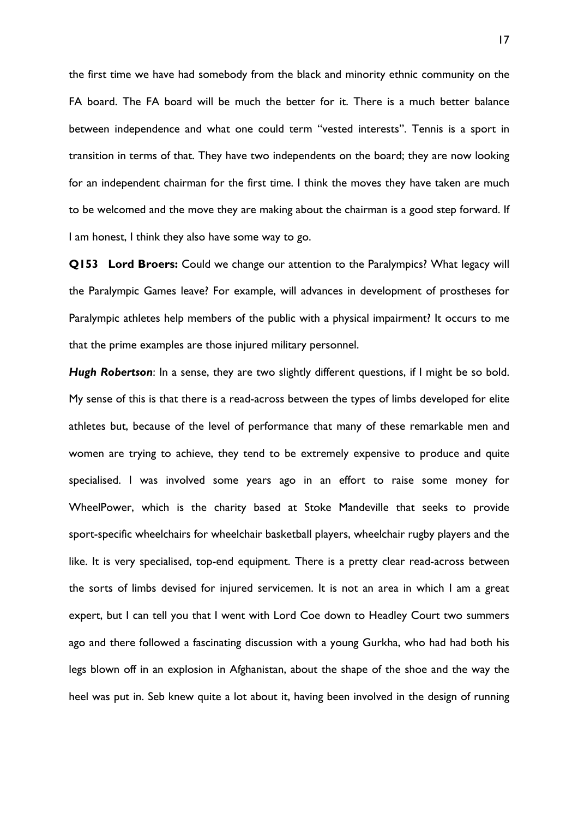the first time we have had somebody from the black and minority ethnic community on the FA board. The FA board will be much the better for it. There is a much better balance between independence and what one could term "vested interests". Tennis is a sport in transition in terms of that. They have two independents on the board; they are now looking for an independent chairman for the first time. I think the moves they have taken are much to be welcomed and the move they are making about the chairman is a good step forward. If I am honest, I think they also have some way to go.

**Q153 Lord Broers:** Could we change our attention to the Paralympics? What legacy will the Paralympic Games leave? For example, will advances in development of prostheses for Paralympic athletes help members of the public with a physical impairment? It occurs to me that the prime examples are those injured military personnel.

*Hugh Robertson*: In a sense, they are two slightly different questions, if I might be so bold. My sense of this is that there is a read-across between the types of limbs developed for elite athletes but, because of the level of performance that many of these remarkable men and women are trying to achieve, they tend to be extremely expensive to produce and quite specialised. I was involved some years ago in an effort to raise some money for WheelPower, which is the charity based at Stoke Mandeville that seeks to provide sport-specific wheelchairs for wheelchair basketball players, wheelchair rugby players and the like. It is very specialised, top-end equipment. There is a pretty clear read-across between the sorts of limbs devised for injured servicemen. It is not an area in which I am a great expert, but I can tell you that I went with Lord Coe down to Headley Court two summers ago and there followed a fascinating discussion with a young Gurkha, who had had both his legs blown off in an explosion in Afghanistan, about the shape of the shoe and the way the heel was put in. Seb knew quite a lot about it, having been involved in the design of running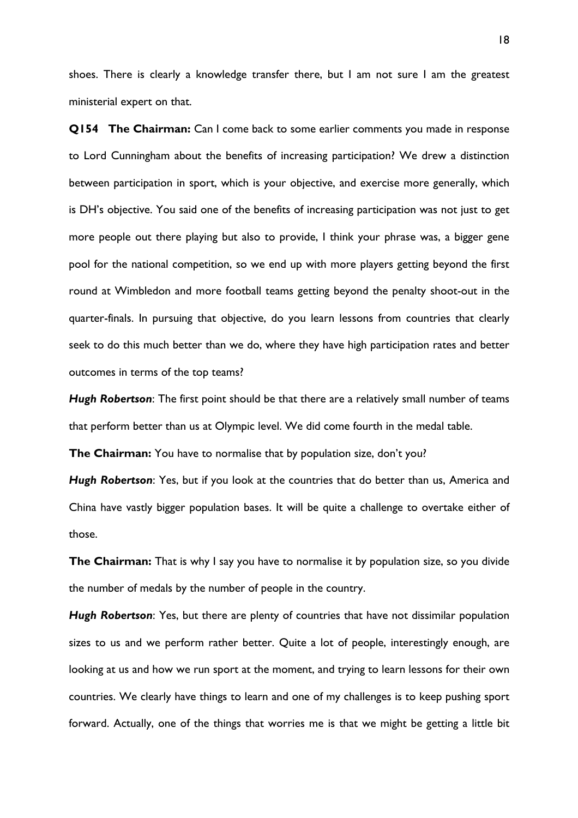shoes. There is clearly a knowledge transfer there, but I am not sure I am the greatest ministerial expert on that.

**Q154 The Chairman:** Can I come back to some earlier comments you made in response to Lord Cunningham about the benefits of increasing participation? We drew a distinction between participation in sport, which is your objective, and exercise more generally, which is DH's objective. You said one of the benefits of increasing participation was not just to get more people out there playing but also to provide, I think your phrase was, a bigger gene pool for the national competition, so we end up with more players getting beyond the first round at Wimbledon and more football teams getting beyond the penalty shoot-out in the quarter-finals. In pursuing that objective, do you learn lessons from countries that clearly seek to do this much better than we do, where they have high participation rates and better outcomes in terms of the top teams?

*Hugh Robertson*: The first point should be that there are a relatively small number of teams that perform better than us at Olympic level. We did come fourth in the medal table.

**The Chairman:** You have to normalise that by population size, don't you?

*Hugh Robertson*: Yes, but if you look at the countries that do better than us, America and China have vastly bigger population bases. It will be quite a challenge to overtake either of those.

**The Chairman:** That is why I say you have to normalise it by population size, so you divide the number of medals by the number of people in the country.

*Hugh Robertson*: Yes, but there are plenty of countries that have not dissimilar population sizes to us and we perform rather better. Quite a lot of people, interestingly enough, are looking at us and how we run sport at the moment, and trying to learn lessons for their own countries. We clearly have things to learn and one of my challenges is to keep pushing sport forward. Actually, one of the things that worries me is that we might be getting a little bit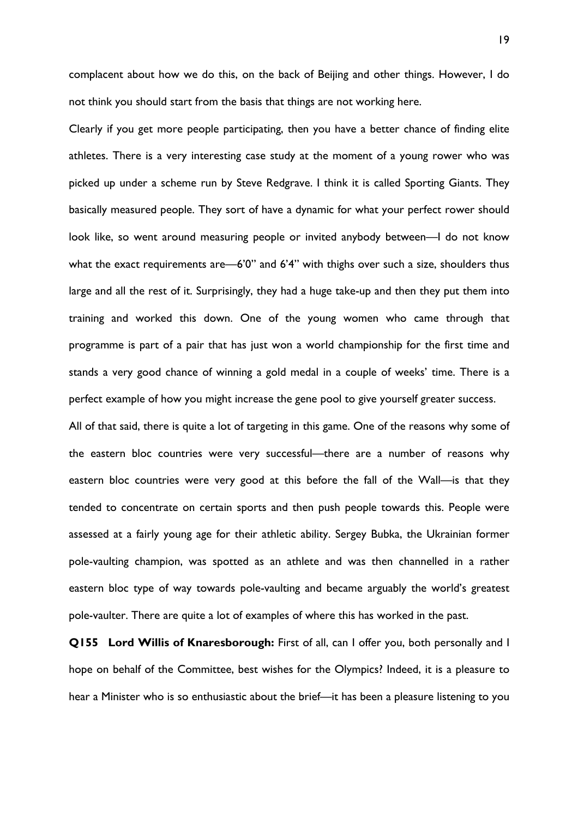complacent about how we do this, on the back of Beijing and other things. However, I do not think you should start from the basis that things are not working here.

Clearly if you get more people participating, then you have a better chance of finding elite athletes. There is a very interesting case study at the moment of a young rower who was picked up under a scheme run by Steve Redgrave. I think it is called Sporting Giants. They basically measured people. They sort of have a dynamic for what your perfect rower should look like, so went around measuring people or invited anybody between—I do not know what the exact requirements are—6'0" and 6'4" with thighs over such a size, shoulders thus large and all the rest of it. Surprisingly, they had a huge take-up and then they put them into training and worked this down. One of the young women who came through that programme is part of a pair that has just won a world championship for the first time and stands a very good chance of winning a gold medal in a couple of weeks' time. There is a perfect example of how you might increase the gene pool to give yourself greater success.

All of that said, there is quite a lot of targeting in this game. One of the reasons why some of the eastern bloc countries were very successful—there are a number of reasons why eastern bloc countries were very good at this before the fall of the Wall—is that they tended to concentrate on certain sports and then push people towards this. People were assessed at a fairly young age for their athletic ability. Sergey Bubka, the Ukrainian former pole-vaulting champion, was spotted as an athlete and was then channelled in a rather eastern bloc type of way towards pole-vaulting and became arguably the world's greatest pole-vaulter. There are quite a lot of examples of where this has worked in the past.

**Q155 Lord Willis of Knaresborough:** First of all, can I offer you, both personally and I hope on behalf of the Committee, best wishes for the Olympics? Indeed, it is a pleasure to hear a Minister who is so enthusiastic about the brief—it has been a pleasure listening to you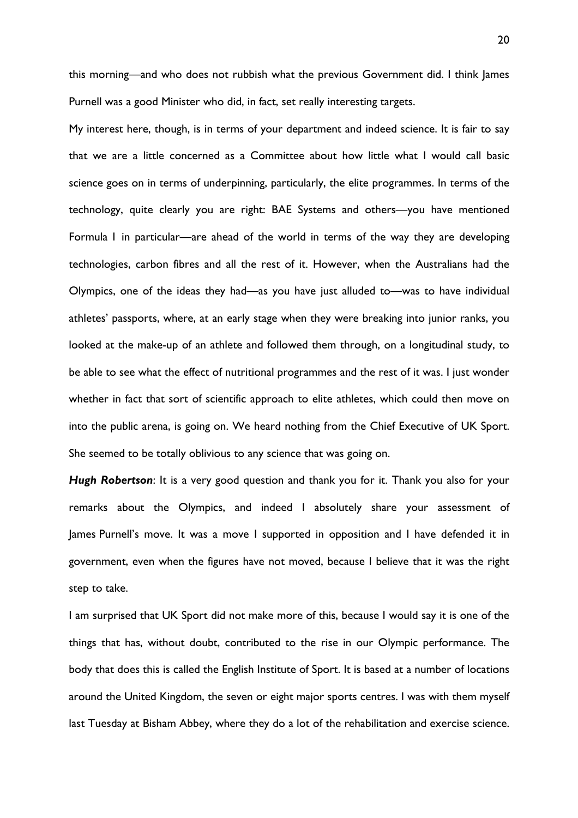this morning—and who does not rubbish what the previous Government did. I think James Purnell was a good Minister who did, in fact, set really interesting targets.

My interest here, though, is in terms of your department and indeed science. It is fair to say that we are a little concerned as a Committee about how little what I would call basic science goes on in terms of underpinning, particularly, the elite programmes. In terms of the technology, quite clearly you are right: BAE Systems and others—you have mentioned Formula 1 in particular—are ahead of the world in terms of the way they are developing technologies, carbon fibres and all the rest of it. However, when the Australians had the Olympics, one of the ideas they had—as you have just alluded to—was to have individual athletes' passports, where, at an early stage when they were breaking into junior ranks, you looked at the make-up of an athlete and followed them through, on a longitudinal study, to be able to see what the effect of nutritional programmes and the rest of it was. I just wonder whether in fact that sort of scientific approach to elite athletes, which could then move on into the public arena, is going on. We heard nothing from the Chief Executive of UK Sport. She seemed to be totally oblivious to any science that was going on.

*Hugh Robertson*: It is a very good question and thank you for it. Thank you also for your remarks about the Olympics, and indeed I absolutely share your assessment of James Purnell's move. It was a move I supported in opposition and I have defended it in government, even when the figures have not moved, because I believe that it was the right step to take.

I am surprised that UK Sport did not make more of this, because I would say it is one of the things that has, without doubt, contributed to the rise in our Olympic performance. The body that does this is called the English Institute of Sport. It is based at a number of locations around the United Kingdom, the seven or eight major sports centres. I was with them myself last Tuesday at Bisham Abbey, where they do a lot of the rehabilitation and exercise science.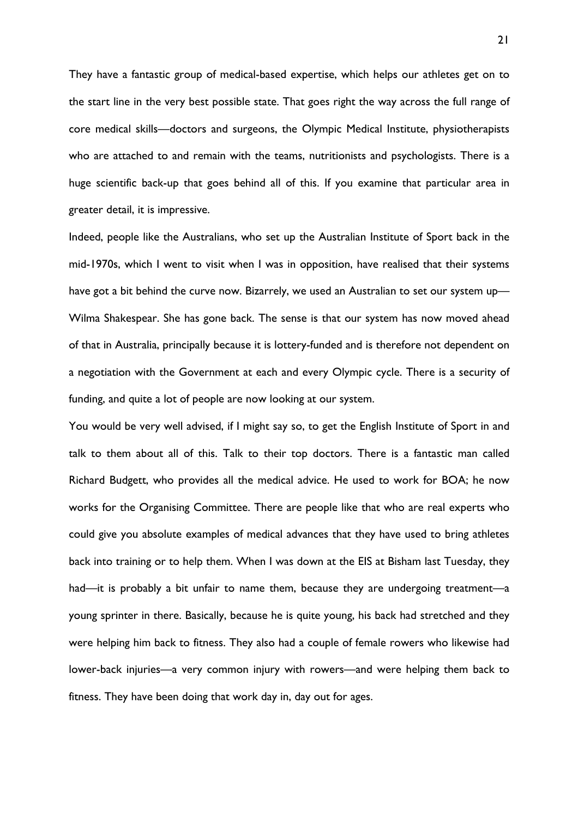They have a fantastic group of medical-based expertise, which helps our athletes get on to the start line in the very best possible state. That goes right the way across the full range of core medical skills—doctors and surgeons, the Olympic Medical Institute, physiotherapists who are attached to and remain with the teams, nutritionists and psychologists. There is a huge scientific back-up that goes behind all of this. If you examine that particular area in greater detail, it is impressive.

Indeed, people like the Australians, who set up the Australian Institute of Sport back in the mid-1970s, which I went to visit when I was in opposition, have realised that their systems have got a bit behind the curve now. Bizarrely, we used an Australian to set our system up— Wilma Shakespear. She has gone back. The sense is that our system has now moved ahead of that in Australia, principally because it is lottery-funded and is therefore not dependent on a negotiation with the Government at each and every Olympic cycle. There is a security of funding, and quite a lot of people are now looking at our system.

You would be very well advised, if I might say so, to get the English Institute of Sport in and talk to them about all of this. Talk to their top doctors. There is a fantastic man called Richard Budgett, who provides all the medical advice. He used to work for BOA; he now works for the Organising Committee. There are people like that who are real experts who could give you absolute examples of medical advances that they have used to bring athletes back into training or to help them. When I was down at the EIS at Bisham last Tuesday, they had—it is probably a bit unfair to name them, because they are undergoing treatment—a young sprinter in there. Basically, because he is quite young, his back had stretched and they were helping him back to fitness. They also had a couple of female rowers who likewise had lower-back injuries—a very common injury with rowers—and were helping them back to fitness. They have been doing that work day in, day out for ages.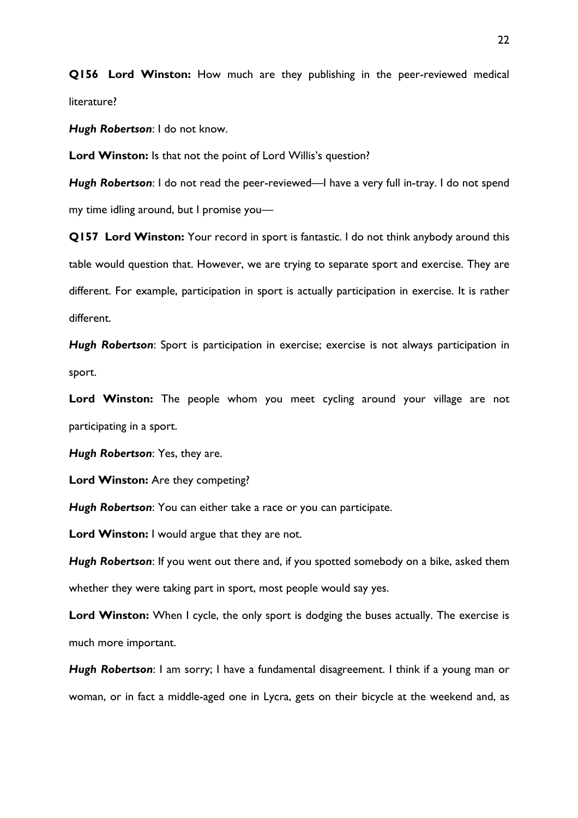**Q156 Lord Winston:** How much are they publishing in the peer-reviewed medical literature?

*Hugh Robertson*: I do not know.

**Lord Winston:** Is that not the point of Lord Willis's question?

*Hugh Robertson*: I do not read the peer-reviewed—I have a very full in-tray. I do not spend my time idling around, but I promise you—

**Q157 Lord Winston:** Your record in sport is fantastic. I do not think anybody around this table would question that. However, we are trying to separate sport and exercise. They are different. For example, participation in sport is actually participation in exercise. It is rather different.

*Hugh Robertson*: Sport is participation in exercise; exercise is not always participation in sport.

Lord Winston: The people whom you meet cycling around your village are not participating in a sport.

*Hugh Robertson*: Yes, they are.

**Lord Winston:** Are they competing?

*Hugh Robertson*: You can either take a race or you can participate.

**Lord Winston:** I would argue that they are not.

*Hugh Robertson*: If you went out there and, if you spotted somebody on a bike, asked them whether they were taking part in sport, most people would say yes.

Lord Winston: When I cycle, the only sport is dodging the buses actually. The exercise is much more important.

*Hugh Robertson*: I am sorry; I have a fundamental disagreement. I think if a young man or woman, or in fact a middle-aged one in Lycra, gets on their bicycle at the weekend and, as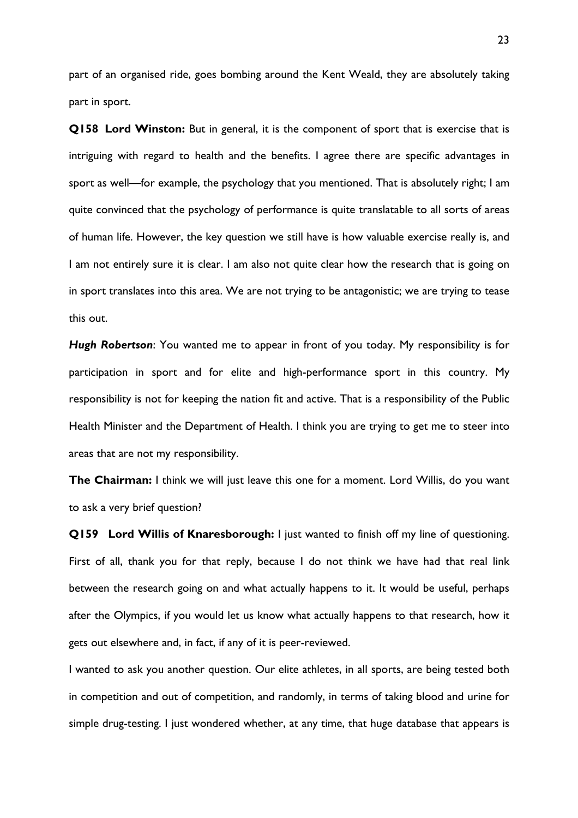part of an organised ride, goes bombing around the Kent Weald, they are absolutely taking part in sport.

**Q158 Lord Winston:** But in general, it is the component of sport that is exercise that is intriguing with regard to health and the benefits. I agree there are specific advantages in sport as well—for example, the psychology that you mentioned. That is absolutely right; I am quite convinced that the psychology of performance is quite translatable to all sorts of areas of human life. However, the key question we still have is how valuable exercise really is, and I am not entirely sure it is clear. I am also not quite clear how the research that is going on in sport translates into this area. We are not trying to be antagonistic; we are trying to tease this out.

*Hugh Robertson*: You wanted me to appear in front of you today. My responsibility is for participation in sport and for elite and high-performance sport in this country. My responsibility is not for keeping the nation fit and active. That is a responsibility of the Public Health Minister and the Department of Health. I think you are trying to get me to steer into areas that are not my responsibility.

**The Chairman:** I think we will just leave this one for a moment. Lord Willis, do you want to ask a very brief question?

**Q159 Lord Willis of Knaresborough:** I just wanted to finish off my line of questioning. First of all, thank you for that reply, because I do not think we have had that real link between the research going on and what actually happens to it. It would be useful, perhaps after the Olympics, if you would let us know what actually happens to that research, how it gets out elsewhere and, in fact, if any of it is peer-reviewed.

I wanted to ask you another question. Our elite athletes, in all sports, are being tested both in competition and out of competition, and randomly, in terms of taking blood and urine for simple drug-testing. I just wondered whether, at any time, that huge database that appears is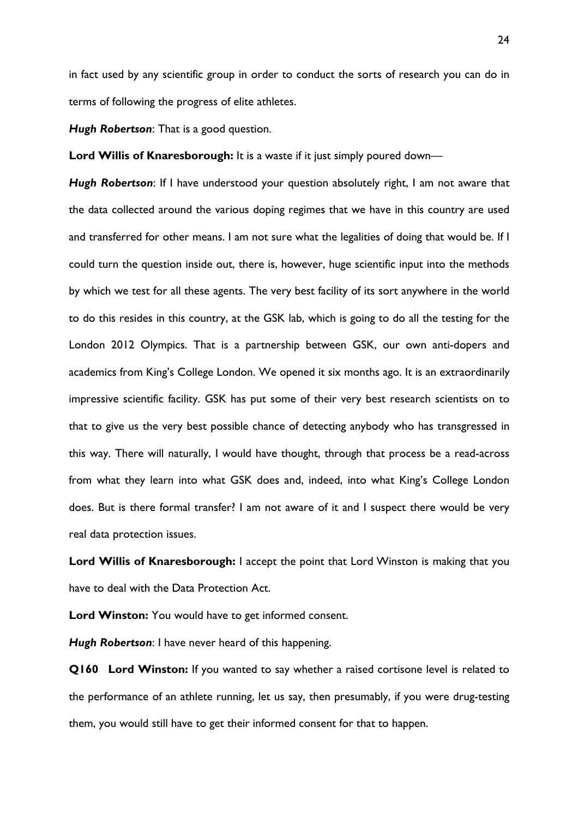in fact used by any scientific group in order to conduct the sorts of research you can do in terms of following the progress of elite athletes.

*Hugh Robertson*: That is a good question.

**Lord Willis of Knaresborough:** It is a waste if it just simply poured down—

*Hugh Robertson*: If I have understood your question absolutely right, I am not aware that the data collected around the various doping regimes that we have in this country are used and transferred for other means. I am not sure what the legalities of doing that would be. If I could turn the question inside out, there is, however, huge scientific input into the methods by which we test for all these agents. The very best facility of its sort anywhere in the world to do this resides in this country, at the GSK lab, which is going to do all the testing for the London 2012 Olympics. That is a partnership between GSK, our own anti-dopers and academics from King's College London. We opened it six months ago. It is an extraordinarily impressive scientific facility. GSK has put some of their very best research scientists on to that to give us the very best possible chance of detecting anybody who has transgressed in this way. There will naturally, I would have thought, through that process be a read-across from what they learn into what GSK does and, indeed, into what King's College London does. But is there formal transfer? I am not aware of it and I suspect there would be very real data protection issues.

**Lord Willis of Knaresborough:** I accept the point that Lord Winston is making that you have to deal with the Data Protection Act.

**Lord Winston:** You would have to get informed consent.

*Hugh Robertson*: I have never heard of this happening.

**Q160 Lord Winston:** If you wanted to say whether a raised cortisone level is related to the performance of an athlete running, let us say, then presumably, if you were drug-testing them, you would still have to get their informed consent for that to happen.